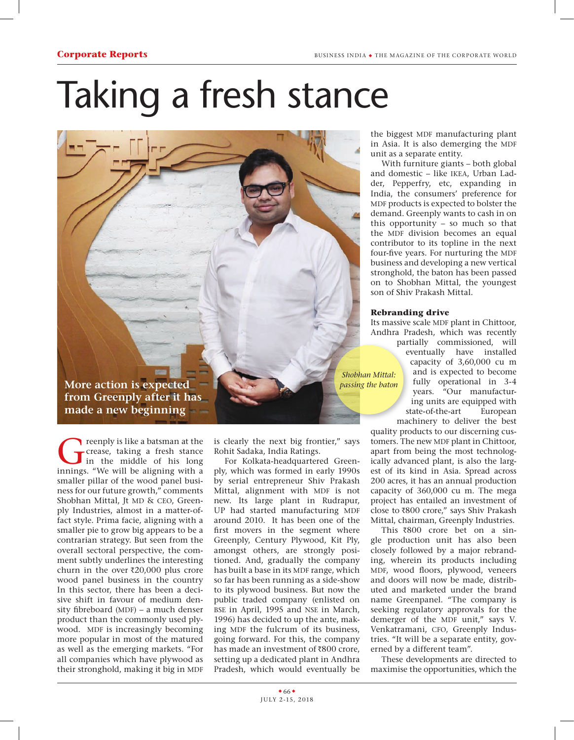## Taking a fresh stance

**More action is expected from Greenply after it has** 

reenply is like a batsman at the<br>crease, taking a fresh stance<br>in the middle of his long<br>innings "We will be aligning with a crease, taking a fresh stance innings. "We will be aligning with a smaller pillar of the wood panel business for our future growth," comments Shobhan Mittal, Jt MD & CEO, Greenply Industries, almost in a matter-offact style. Prima facie, aligning with a smaller pie to grow big appears to be a contrarian strategy. But seen from the overall sectoral perspective, the comment subtly underlines the interesting churn in the over  $\bar{\zeta}20,000$  plus crore wood panel business in the country In this sector, there has been a decisive shift in favour of medium density fibreboard (MDF) – a much denser product than the commonly used plywood. MDF is increasingly becoming more popular in most of the matured as well as the emerging markets. "For all companies which have plywood as their stronghold, making it big in MDF

**made a new beginning**

is clearly the next big frontier," says Rohit Sadaka, India Ratings.

For Kolkata-headquartered Greenply, which was formed in early 1990s by serial entrepreneur Shiv Prakash Mittal, alignment with MDF is not new. Its large plant in Rudrapur, UP had started manufacturing MDF around 2010. It has been one of the first movers in the segment where Greenply, Century Plywood, Kit Ply, amongst others, are strongly positioned. And, gradually the company has built a base in its MDF range, which so far has been running as a side-show to its plywood business. But now the public traded company (enlisted on bse in April, 1995 and nse in March, 1996) has decided to up the ante, making MDF the fulcrum of its business, going forward. For this, the company has made an investment of  $\bar{x}800$  crore, setting up a dedicated plant in Andhra Pradesh, which would eventually be

the biggest MDF manufacturing plant in Asia. It is also demerging the MDF unit as a separate entity.

With furniture giants – both global and domestic - like IKEA, Urban Ladder, Pepperfry, etc, expanding in India, the consumers' preference for MDF products is expected to bolster the demand. Greenply wants to cash in on this opportunity – so much so that the MDF division becomes an equal contributor to its topline in the next four-five years. For nurturing the MDF business and developing a new vertical stronghold, the baton has been passed on to Shobhan Mittal, the youngest son of Shiv Prakash Mittal.

## **Rebranding drive**

Its massive scale MDF plant in Chittoor, Andhra Pradesh, which was recently partially commissioned, will eventually have installed capacity of 3,60,000 cu m and is expected to become fully operational in 3-4 years. "Our manufacturing units are equipped with state-of-the-art European machinery to deliver the best *Shobhan Mittal: passing the baton*

quality products to our discerning customers. The new MDF plant in Chittoor, apart from being the most technologically advanced plant, is also the largest of its kind in Asia. Spread across 200 acres, it has an annual production capacity of 360,000 cu m. The mega project has entailed an investment of close to R800 crore," says Shiv Prakash Mittal, chairman, Greenply Industries.

This ₹800 crore bet on a single production unit has also been closely followed by a major rebranding, wherein its products including MDF, wood floors, plywood, veneers and doors will now be made, distributed and marketed under the brand name Greenpanel. "The company is seeking regulatory approvals for the demerger of the MDF unit," says V. Venkatramani, CFO, Greenply Industries. "It will be a separate entity, governed by a different team".

These developments are directed to maximise the opportunities, which the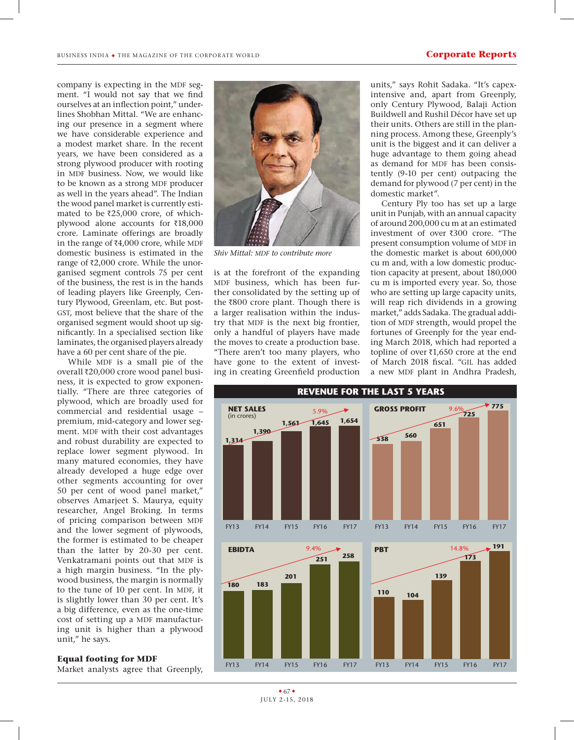company is expecting in the MDF segment. "I would not say that we find ourselves at an inflection point," underlines Shobhan Mittal. "We are enhancing our presence in a segment where we have considerable experience and a modest market share. In the recent years, we have been considered as a strong plywood producer with rooting in MDF business. Now, we would like to be known as a strong MDF producer as well in the years ahead". The Indian the wood panel market is currently estimated to be  $\bar{\tau}$ 25,000 crore, of whichplywood alone accounts for  $\bar{x}$ 18,000 crore. Laminate offerings are broadly in the range of  $\bar{\tau}4,000$  crore, while MDF domestic business is estimated in the range of  $\bar{\tau}2,000$  crore. While the unorganised segment controls 75 per cent of the business, the rest is in the hands of leading players like Greenply, Century Plywood, Greenlam, etc. But post-GST, most believe that the share of the organised segment would shoot up significantly. In a specialised section like laminates, the organised players already have a 60 per cent share of the pie.

While MDF is a small pie of the overall ₹20,000 crore wood panel business, it is expected to grow exponentially. "There are three categories of plywood, which are broadly used for commercial and residential usage – premium, mid-category and lower segment. MDF with their cost advantages and robust durability are expected to replace lower segment plywood. In many matured economies, they have already developed a huge edge over other segments accounting for over 50 per cent of wood panel market," observes Amarjeet S. Maurya, equity researcher, Angel Broking. In terms of pricing comparison between MDF and the lower segment of plywoods, the former is estimated to be cheaper than the latter by 20-30 per cent. Venkatramani points out that MDF is a high margin business. "In the plywood business, the margin is normally to the tune of 10 per cent. In MDF, it is slightly lower than 30 per cent. It's a big difference, even as the one-time cost of setting up a MDF manufacturing unit is higher than a plywood unit," he says.

## **Equal footing for MDF**

Market analysts agree that Greenply,



**Shiv Mittal: MDF** to contribute more

is at the forefront of the expanding MDF business, which has been further consolidated by the setting up of the  $\bar{R}800$  crore plant. Though there is a larger realisation within the industry that MDF is the next big frontier, only a handful of players have made the moves to create a production base. "There aren't too many players, who have gone to the extent of investing in creating Greenfield production

units," says Rohit Sadaka. "It's capexintensive and, apart from Greenply, only Century Plywood, Balaji Action Buildwell and Rushil Décor have set up their units. Others are still in the planning process. Among these, Greenply's unit is the biggest and it can deliver a huge advantage to them going ahead as demand for MDF has been consistently (9-10 per cent) outpacing the demand for plywood (7 per cent) in the domestic market".

Century Ply too has set up a large unit in Punjab, with an annual capacity of around 200,000 cu m at an estimated investment of over  $\overline{300}$  crore. "The present consumption volume of MDF in the domestic market is about 600,000 cu m and, with a low domestic production capacity at present, about 180,000 cu m is imported every year. So, those who are setting up large capacity units, will reap rich dividends in a growing market," adds Sadaka. The gradual addition of MDF strength, would propel the fortunes of Greenply for the year ending March 2018, which had reported a topline of over  $\bar{x}$ 1,650 crore at the end of March 2018 fiscal. "gil has added a new MDF plant in Andhra Pradesh,